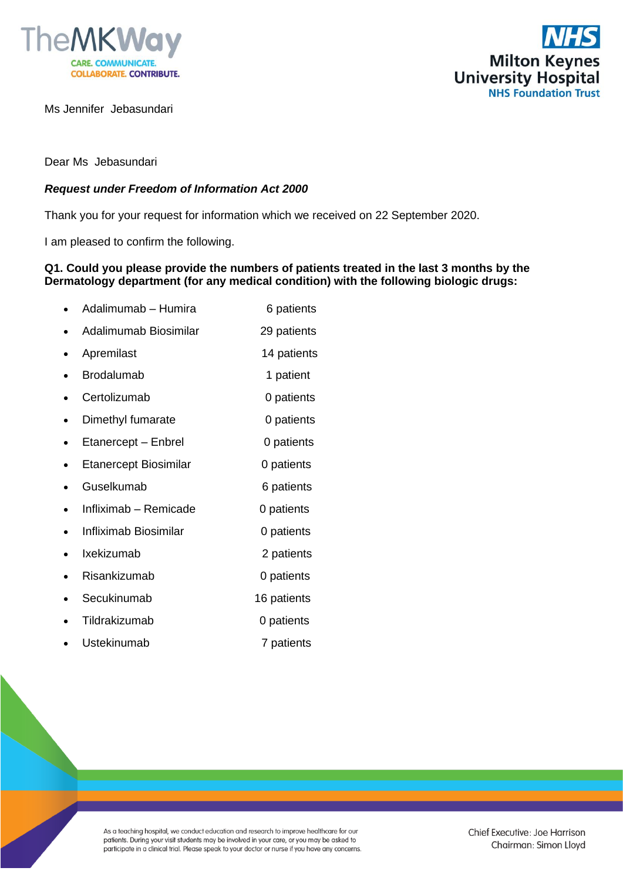

Ms Jennifer Jebasundari



Dear Ms Jebasundari

## *Request under Freedom of Information Act 2000*

Thank you for your request for information which we received on 22 September 2020.

I am pleased to confirm the following.

## **Q1. Could you please provide the numbers of patients treated in the last 3 months by the Dermatology department (for any medical condition) with the following biologic drugs:**

|   | Adalimumab - Humira          | 6 patients  |
|---|------------------------------|-------------|
|   | Adalimumab Biosimilar        | 29 patients |
| ٠ | Apremilast                   | 14 patients |
|   | <b>Brodalumab</b>            | 1 patient   |
|   | Certolizumab                 | 0 patients  |
|   | Dimethyl fumarate            | 0 patients  |
|   | Etanercept - Enbrel          | 0 patients  |
|   | <b>Etanercept Biosimilar</b> | 0 patients  |
|   | Guselkumab                   | 6 patients  |
|   | Infliximab - Remicade        | 0 patients  |
|   | Infliximab Biosimilar        | 0 patients  |
|   | Ixekizumab                   | 2 patients  |
|   | Risankizumab                 | 0 patients  |
|   | Secukinumab                  | 16 patients |
|   | Tildrakizumab                | 0 patients  |

Ustekinumab 7 patients

As a teaching hospital, we conduct education and research to improve healthcare for our patients. During your visit students may be involved in your care, or you may be asked to participate in a clinical trial. Please speak to your doctor or nurse if you have any concerns.